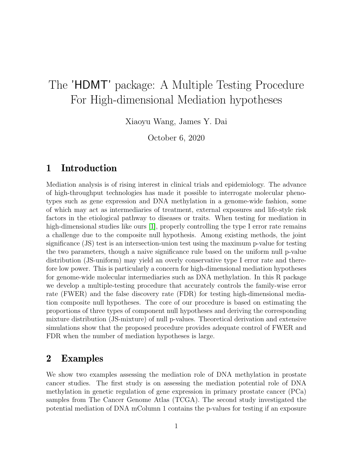# The 'HDMT' package: A Multiple Testing Procedure For High-dimensional Mediation hypotheses

Xiaoyu Wang, James Y. Dai

October 6, 2020

### 1 Introduction

Mediation analysis is of rising interest in clinical trials and epidemiology. The advance of high-throughput technologies has made it possible to interrogate molecular phenotypes such as gene expression and DNA methylation in a genome-wide fashion, some of which may act as intermediaries of treatment, external exposures and life-style risk factors in the etiological pathway to diseases or traits. When testing for mediation in high-dimensional studies like ours [\[1\]](#page-6-0), properly controlling the type I error rate remains a challenge due to the composite null hypothesis. Among existing methods, the joint significance (JS) test is an intersection-union test using the maximum p-value for testing the two parameters, though a naive significance rule based on the uniform null p-value distribution (JS-uniform) may yield an overly conservative type I error rate and therefore low power. This is particularly a concern for high-dimensional mediation hypotheses for genome-wide molecular intermediaries such as DNA methylation. In this R package we develop a multiple-testing procedure that accurately controls the family-wise error rate (FWER) and the false discovery rate (FDR) for testing high-dimensional mediation composite null hypotheses. The core of our procedure is based on estimating the proportions of three types of component null hypotheses and deriving the corresponding mixture distribution (JS-mixture) of null p-values. Theoretical derivation and extensive simulations show that the proposed procedure provides adequate control of FWER and FDR when the number of mediation hypotheses is large.

#### 2 Examples

We show two examples assessing the mediation role of DNA methylation in prostate cancer studies. The first study is on assessing the mediation potential role of DNA methylation in genetic regulation of gene expression in primary prostate cancer (PCa) samples from The Cancer Genome Atlas (TCGA). The second study investigated the potential mediation of DNA mColumn 1 contains the p-values for testing if an exposure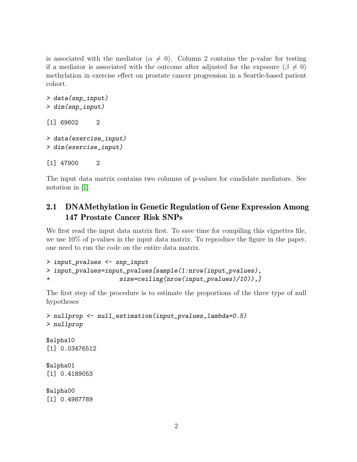is associated with the mediator ( $\alpha \neq 0$ ). Column 2 contains the p-value for testing if a mediator is associated with the outcome after adjusted for the exposure ( $\beta \neq 0$ ) methylation in exercise effect on prostate cancer progression in a Seattle-based patient cohort.

```
> data(snp_input)
> dim(snp_input)
[1] 69602 2
> data(exercise_input)
> dim(exercise_input)
[1] 47900 2
```
The input data matrix contains two columns of p-values for candidate mediators. See notation in [\[1\]](#page-6-0).

#### 2.1 DNAMethylation in Genetic Regulation of Gene Expression Among 147 Prostate Cancer Risk SNPs

We first read the input data matrix first. To save time for compiling this vignettes file, we use 10% of p-values in the input data matrix. To reproduce the figure in the paper, one need to run the code on the entire data matrix.

```
> input_pvalues <- snp_input
> input_pvalues=input_pvalues[sample(1:nrow(input_pvalues),
+ size=ceiling(nrow(input_pvalues)/10)),]
```
The first step of the procedure is to estimate the proportions of the three type of null hypotheses

```
> nullprop <- null_estimation(input_pvalues,lambda=0.5)
> nullprop
$alpha10
[1] 0.03476512
$alpha01
[1] 0.4189053
$alpha00
[1] 0.4987789
```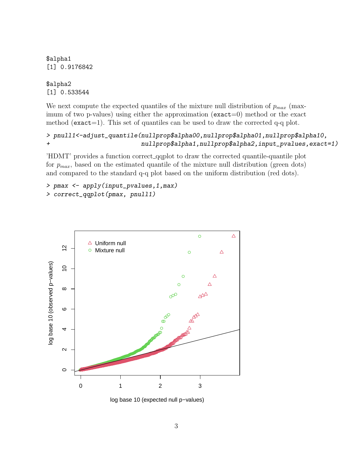\$alpha1 [1] 0.9176842

\$alpha2 [1] 0.533544

We next compute the expected quantiles of the mixture null distribution of  $p_{max}$  (maximum of two p-values) using either the approximation ( $\text{exact}=0$ ) method or the exact method ( $\epsilon$ xact=1). This set of quantiles can be used to draw the corrected q-q plot.

```
> pnull1<-adjust_quantile(nullprop$alpha00,nullprop$alpha01,nullprop$alpha10,
+ nullprop$alpha1,nullprop$alpha2,input_pvalues,exact=1)
```
'HDMT' provides a function correct qqplot to draw the corrected quantile-quantile plot for  $p_{max}$ , based on the estimated quantile of the mixture null distribution (green dots) and compared to the standard q-q plot based on the uniform distribution (red dots).

```
> pmax <- apply(input_pvalues,1,max)
> correct_qqplot(pmax, pnull1)
```


log base 10 (expected null p−values)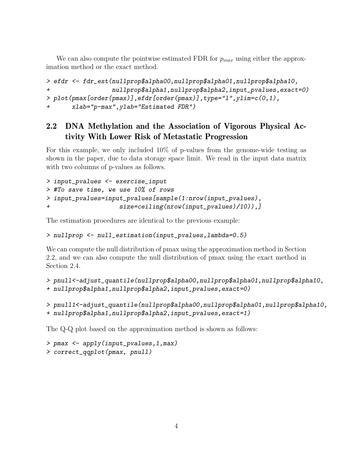We can also compute the pointwise estimated FDR for  $p_{max}$  using either the approximation method or the exact method.

```
> efdr <- fdr_est(nullprop$alpha00,nullprop$alpha01,nullprop$alpha10,
+ nullprop$alpha1,nullprop$alpha2,input_pvalues,exact=0)
> plot(pmax[order(pmax)],efdr[order(pmax)],type="l",ylim=c(0,1),
+ xlab="p-max",ylab="Estimated FDR")
```
#### 2.2 DNA Methylation and the Association of Vigorous Physical Activity With Lower Risk of Metastatic Progression

For this example, we only included 10% of p-values from the genome-wide testing as shown in the paper, due to data storage space limit. We read in the input data matrix with two columns of p-values as follows.

```
> input_pvalues <- exercise_input
> #To save time, we use 10% of rows
> input_pvalues=input_pvalues[sample(1:nrow(input_pvalues),
+ size=ceiling(nrow(input_pvalues)/10)),]
```
The estimation procedures are identical to the previous example:

```
> nullprop <- null_estimation(input_pvalues,lambda=0.5)
```
We can compute the null distribution of pmax using the approximation method in Section 2.2, and we can also compute the null distribution of pmax using the exact method in Section 2.4.

```
> pnull<-adjust_quantile(nullprop$alpha00,nullprop$alpha01,nullprop$alpha10,
+ nullprop$alpha1,nullprop$alpha2,input_pvalues,exact=0)
```

```
> pnull1<-adjust_quantile(nullprop$alpha00,nullprop$alpha01,nullprop$alpha10,
```

```
+ nullprop$alpha1,nullprop$alpha2,input_pvalues,exact=1)
```
The Q-Q plot based on the approximation method is shown as follows:

```
> pmax <- apply(input_pvalues,1,max)
> correct_qqplot(pmax, pnull)
```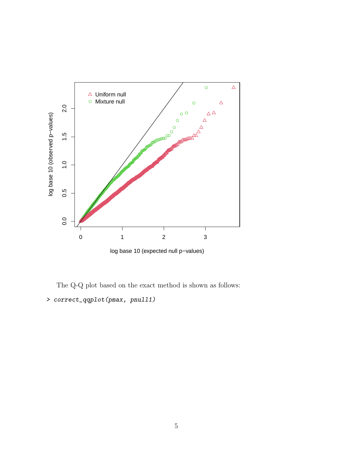

The Q-Q plot based on the exact method is shown as follows: > correct\_qqplot(pmax, pnull1)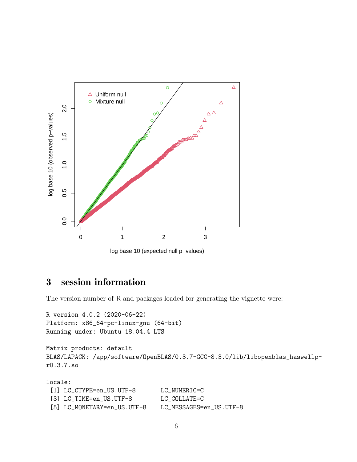

log base 10 (expected null p−values)

## 3 session information

The version number of R and packages loaded for generating the vignette were:

```
R version 4.0.2 (2020-06-22)
Platform: x86_64-pc-linux-gnu (64-bit)
Running under: Ubuntu 18.04.4 LTS
```

```
Matrix products: default
BLAS/LAPACK: /app/software/OpenBLAS/0.3.7-GCC-8.3.0/lib/libopenblas_haswellp-
r0.3.7.so
```
locale: [1] LC\_CTYPE=en\_US.UTF-8 LC\_NUMERIC=C [3] LC\_TIME=en\_US.UTF-8 LC\_COLLATE=C [5] LC\_MONETARY=en\_US.UTF-8 LC\_MESSAGES=en\_US.UTF-8